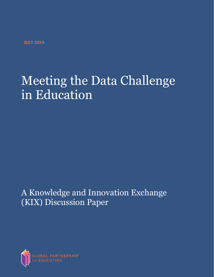**JULY 2019**

# Meeting the Data Challenge in Education

A Knowledge and Innovation Exchange (KIX) Discussion Paper

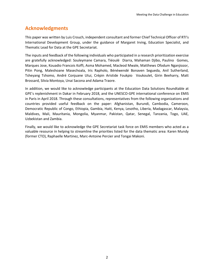## **Acknowledgments**

This paper was written by Luis Crouch, independent consultant and former Chief Technical Officer of RTI's International Development Group, under the guidance of Margaret Irving, Education Specialist, and Thematic Lead for Data at the GPE Secretariat.

The inputs and feedback of the following individuals who participated in a research prioritization exercise are gratefully acknowledged: Souleymane Camara, Tiéoulé Diarra, Mahaman Djibo, Paulino Gomes, Marques Jose, Kouadio Francois Koffi, Asma Mohamed, Macleod Mwale, Matthews Ofodum Nganjiozor, Pitin Pong, Maleshoane Masechoala, Iris Rapholo, Bénéwendé Bonaven Segueda, Anil Sutherland, Tsheyang Tshomo, André Conjuane Utui, Crépin Aristide Foukpio Voukoulet, Girin Beeharry, Matt Brossard, Silvia Montoya, Unai Sacona and Adama Traore.

In addition, we would like to acknowledge participants at the Education Data Solutions Roundtable at GPE's replenishment in Dakar in February 2018, and the UNESCO-GPE international conference on EMIS in Paris in April 2018. Through these consultations, representatives from the following organizations and countries provided useful feedback on the paper: Afghanistan, Burundi, Cambodia, Cameroon, Democratic Republic of Congo, Ethiopia, Gambia, Haiti, Kenya, Lesotho, Liberia, Madagascar, Malaysia, Maldives, Mali, Mauritania, Mongolia, Myanmar, Pakistan, Qatar, Senegal, Tanzania, Togo, UAE, Uzbekistan and Zambia.

Finally, we would like to acknowledge the GPE Secretariat task force on EMIS members who acted as a valuable resource in helping to streamline the priorities listed for the data thematic area: Karen Mundy (former CTO), Raphaelle Martinez, Marc-Antoine Percier and Tongai Makoni.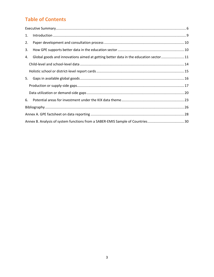## **Table of Contents**

| 1. |                                                                                     |  |  |  |
|----|-------------------------------------------------------------------------------------|--|--|--|
| 2. |                                                                                     |  |  |  |
| 3. |                                                                                     |  |  |  |
| 4. | Global goods and innovations aimed at getting better data in the education sector11 |  |  |  |
|    |                                                                                     |  |  |  |
|    |                                                                                     |  |  |  |
| 5. |                                                                                     |  |  |  |
|    |                                                                                     |  |  |  |
|    |                                                                                     |  |  |  |
| 6. |                                                                                     |  |  |  |
|    |                                                                                     |  |  |  |
|    |                                                                                     |  |  |  |
|    | Annex B. Analysis of system functions from a SABER-EMIS Sample of Countries30       |  |  |  |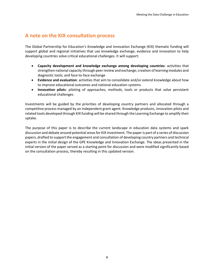### **A note on the KIX consultation process**

The Global Partnership for Education's Knowledge and Innovation Exchange (KIX) thematic funding will support global and regional initiatives that use knowledge exchange, evidence and innovation to help developing countries solve critical educational challenges. It will support:

- **Capacity development and knowledge exchange among developing countries**: activities that strengthen national capacity through peer review and exchange; creation of learning modules and diagnostic tools; and face-to-face exchange
- **Evidence and evaluation**: activities that aim to consolidate and/or extend knowledge about how to improve educational outcomes and national education systems
- **Innovation pilots**: piloting of approaches, methods, tools or products that solve persistent educational challenges

Investments will be guided by the priorities of developing country partners and allocated through a competitive process managed by an independent grant agent. Knowledge products, innovation pilots and related tools developed through KIX funding will be shared through the Learning Exchange to amplify their uptake.

The purpose of this paper is to describe the current landscape in education data systems and spark discussion and debate around potential areas for KIX investment. The paper is part of a series of discussion papers, drafted to support the engagement and consultation of developing country partners and technical experts in the initial design of the GPE Knowledge and Innovation Exchange. The ideas presented in the initial version of the paper served as a starting point for discussion and were modified significantly based on the consultation process, thereby resulting in this updated version.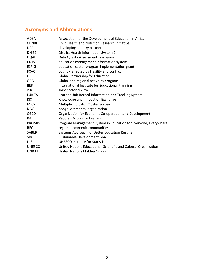# **Acronyms and Abbreviations**

| ADEA              | Association for the Development of Education in Africa           |
|-------------------|------------------------------------------------------------------|
| <b>CHNRI</b>      | Child Health and Nutrition Research Initiative                   |
| <b>DCP</b>        | developing country partner                                       |
| DHIS <sub>2</sub> | District Health Information System 2                             |
| <b>DQAF</b>       | Data Quality Assessment Framework                                |
| <b>EMIS</b>       | education management information system                          |
| <b>ESPIG</b>      | education sector program implementation grant                    |
| <b>FCAC</b>       | country affected by fragility and conflict                       |
| <b>GPE</b>        | <b>Global Partnership for Education</b>                          |
| <b>GRA</b>        | Global and regional activities program                           |
| <b>IIEP</b>       | International Institute for Educational Planning                 |
| <b>JSR</b>        | Joint sector review                                              |
| <b>LURITS</b>     | Learner Unit Record Information and Tracking System              |
| KIX.              | Knowledge and Innovation Exchange                                |
| <b>MICS</b>       | Multiple Indicator Cluster Survey                                |
| <b>NGO</b>        | nongovernmental organization                                     |
| <b>OECD</b>       | Organization for Economic Co-operation and Development           |
| PAL               | People's Action for Learning                                     |
| <b>PROMISE</b>    | Program Management System in Education for Everyone, Everywhere  |
| <b>REC</b>        | regional economic communities                                    |
| <b>SABER</b>      | Systems Approach for Better Education Results                    |
| <b>SDG</b>        | Sustainable Development Goal                                     |
| <b>UIS</b>        | <b>UNESCO Institute for Statistics</b>                           |
| <b>UNESCO</b>     | United Nations Educational, Scientific and Cultural Organization |
| <b>UNICEF</b>     | United Nations Children's Fund                                   |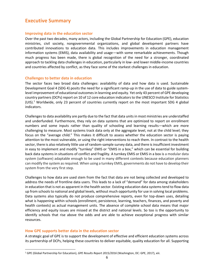## <span id="page-5-0"></span>**Executive Summary**

#### **Improving data in the education sector**

Over the past two decades, many actors, including the Global Partnership for Education (GPE), education ministries, civil society, nongovernmental organizations, and global development partners have contributed innovations to education data. This includes improvements in education management information systems (EMIS), data availability and usage—with some remarkable achievements. Though much progress has been made, there is global recognition of the need for a stronger, coordinated approach to tackling data challenges in education, particularly in low- and lower middle-income countries and countries affected by conflict, as they face some of the starkest challenges in education.

#### **Challenges to better data in education**

The sector faces two broad data challenges: availability of data and how data is used. Sustainable Development Goal 4 (SDG 4) posits the need for a significant ramp-up in the use of data to guide systemlevel improvement of educational outcomes in learning and equity. Yet only 43 percent of GPE developing country partners (DCPs) report on 10 of 12 core education indicators to the UNESCO Institute for Statistics  $(UIS).<sup>1</sup>$  Worldwide, only 23 percent of countries currently report on the most important SDG 4 global indicators.

Challenges to data availability are partly due to the fact that data units in most ministries are understaffed and underfunded. Furthermore, they rely on data systems that are optimized to report on enrollment numbers and some inputs rather than quality of schooling and learning results—which are more challenging to measure. Most systems track data only at the aggregate level, not at the child level; they focus on the "average child." This makes it difficult to assess whether the education sector is paying attention to the most vulnerable, or using the right interventions to reach them. In contrast to the health sector, there is also relatively little use of random-sample survey data, and there is insufficient investment in easy to implement and modify "turnkey" EMIS or "EMIS in a box," which can be essential for building back data systems in situations of conflict and fragility. A turnkey EMIS or EMIS in a box is a modular data system (software) adaptable enough to be used in many different contexts because education planners can modify the system as required. When using a turnkey EMIS, governments do not have to develop their system from the very first step.

Challenges to how data are used stem from the fact that data are not being collected and developed to address the needs of frontline data users. This leads to a lack of "demand" for data among stakeholders in education that is not as apparent in the health sector. Existing education data systems tend to flow data up from schools to national and global levels, without much opportunity for use in solving local problems. Data systems also typically do not produce comprehensive reports, even for top-down uses, detailing what is happening within schools (enrollment, persistence, learning, teachers, finances, and poverty and health contexts) as actual management units. The absence of complete school data means that major efficiency and equity issues are missed at the district and national levels. So too is the opportunity to identify schools that rise above the odds and are able to achieve exceptional progress with similar resources.

#### **How GPE supports better data in the education sector**

 $\overline{\phantom{a}}$ 

A strategic goal of GPE is to support the development of effective and efficient education systems across its partnership of DCPs, helping these countries to deliver equitable, quality education for all. Supporting

<sup>1</sup> GPE (Global Partnership for Education), *GPE Results Report 2015/2016* (Washington, DC: GPE, 2017), xiii.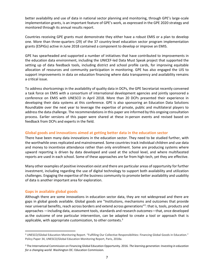better availability and use of data in national sector planning and monitoring, through GPE's large-scale implementation grants, is an important feature of GPE's work, as expressed in the GPE 2020 strategy and monitored through its annual results report.

Countries receiving GPE grants must demonstrate they either have a robust EMIS or a plan to develop one. More than three-quarters (29) of the 37 country-level education sector program implementation grants (ESPIGs) active in June 2018 contained a component to develop or improve an EMIS.

GPE has spearheaded and supported a number of initiatives that have contributed to improvements in the education data environment, including the UNICEF-led Data Must Speak project that supported the setting up of data feedback tools, including district and school profile cards, for improving equitable allocation of resources and community participation in monitoring. GPE has also engaged the UIS to support improvements in data on education financing where data transparency and availability remains a critical issue.

To address shortcomings in the availability of quality data in DCPs, the GPE Secretariat recently convened a task force on EMIS with a consortium of international development agencies and jointly sponsored a conference on EMIS with UNESCO in April 2018. More than 20 DCPs presented their experience in developing their data systems at this conference. GPE is also sponsoring an Education Data Solutions Roundtable over the next year to leverage the expertise of private, public and multilateral players to address the data challenge. The recommendations in this paper are informed by this ongoing consultation process. Earlier versions of this paper were shared at these in-person events and revised based on feedback from DCPs and experts in the field.

#### **Global goods and innovations aimed at getting better data in the education sector**

There have been many data innovations in the education sector. They need to be studied further, with the worthwhile ones replicated and mainstreamed. Some countries track individual children and use data and money to incentivize attendance rather than only enrollment. Some are producing systems where upward reporting is driven by data developed and used at the school level, and where multifaceted reports are used in each school. Some of these approaches are far from high-tech, yet they are effective.

Many other examples of positive innovation exist and there are particular areas of opportunity for further investment, including regarding the use of digital technology to support both availability and utilization challenges. Engaging the expertise of the business community to promote better availability and usability of data is another important area for exploration.

#### **Gaps in available global goods**

 $\overline{\phantom{a}}$ 

Although there are some innovations in education sector data, they are not widespread and there are gaps in global goods available. Global goods are "Institutions, mechanisms and outcomes that provide near universal benefits, reach across borders and extend across generations"<sup>2</sup>: that is, tools, products and approaches —including data, assessment tools, standards and research outcomes—that, once developed as the outcome of one particular intervention, can be adapted to create a tool or approach that is applicable, with appropriate customization, to other contexts. $3$ 

<sup>2</sup> UNESCO/Global Education Monitoring Report. "Fulfilling Our Collective Responsibilities: Financing Global Goods in Education." Policy Paper 34, UNESCO/Global Education Monitoring Report, Paris, 2018a.

<sup>3</sup> The International Commission on Financing Global Education Opportunity. 2016. *The learning generation: Investing in education for a changing world*. Washington DC: Education Commission.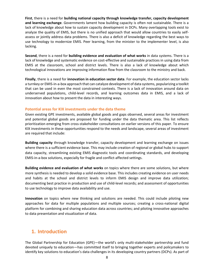**First**, there is a need for **building national capacity through knowledge transfer, capacity development and learning exchange**. Governments lament how building capacity is often not sustainable. There is a lack of knowledge about how to sustain capacity development in DCPs. Many overlapping tools exist to analyze the quality of EMIS, but there is no unified approach that would allow countries to easily selfassess or jointly address data problems. There is also a deficit of knowledge regarding the best ways to use technology to modernize EMIS. Peer learning, from the minister to the implementer level, is also lacking.

**Second**, there is a need for **building evidence and evaluation of what works** in data systems. There is a lack of knowledge and systematic evidence on cost-effective and sustainable practices in using data from EMIS at the classroom, school and district levels. There is also a lack of knowledge about which technological innovations are improving information flow from the classroom to the ministry and back.

**Finally**, there is a need for **innovation in education sector data**. For example, the education sector lacks a turnkey or EMIS-in-a-box approach that can catalyze development of data systems, popularizing a toolkit that can be used in even the most constrained contexts. There is a lack of innovation around data on underserved populations, child-level records, and learning outcomes data in EMIS, and a lack of innovation about how to present the data in interesting ways.

#### **Potential areas for KIX investments under the data theme**

Given existing GPE investments, available global goods and gaps observed, several areas for investment and potential global goods are proposed for funding under the data thematic area. This list reflects prioritization emerging from cross-stakeholder consultations on earlier versions of this paper. To ensure KIX investments in these opportunities respond to the needs and landscape, several areas of investment are required that include:

**Building capacity** through knowledge transfer, capacity development and learning exchange on issues where there is a sufficient evidence base. This may include creation of regional or global hubs to support data capacity, streamlining existing EMIS diagnostic tools and coordinating standards, and developing EMIS-in-a-box solutions, especially for fragile and conflict-affected settings.

**Building evidence and evaluation of what works** on topics where there are some solutions, but where more synthesis is needed to develop a solid evidence base. This includes creating evidence on user needs and habits at the school and district levels to inform EMIS design and improve data utilization; documenting best practice in production and use of child-level records; and assessment of opportunities to use technology to improve data availability and use.

**Innovation** on topics where new thinking and solutions are needed. This could include piloting new approaches for data for multiple populations and multiple sources; creating a cross-national digital platform for combining and sharing education data across countries; and piloting innovative approaches to data presentation and visualization of data.

## <span id="page-7-0"></span>**1. Introduction**

The Global Partnership for Education (GPE)—the world's only multi-stakeholder partnership and fund devoted uniquely to education—has committed itself to bringing together experts and policymakers to identify key solutions to education's data challenges in its developing country partners (DCPs). As part of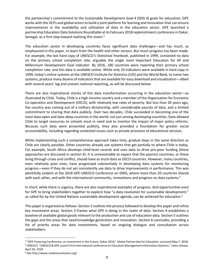the partnership's commitment to the Sustainable Development Goal 4 (SDG 4) goals for education, GPE works with the DCPs and global actors to build a joint platform for learning and innovation that can ensure improvements in the availability and utilization of data in the education sector. GPE launched a partnership Education Data Solutions Roundtable at its February 2018 replenishment conference in Dakar, Senegal, as a first step toward realizing this vision.<sup>4</sup>

The education sector in developing countries faces significant data challenges—and has much, as emphasized in this paper, to learn from the health and other sectors. But much progress has been made. For example, the last hard copy of UNESCO's *Statistical Yearbook*, published in 1999, contained no data on the primary school completion rate, arguably the single most important Education for All and Millennium Development Goal indicator. By 2016, 180 countries were reporting their primary school completion rate, and this data is available online. While only 10 indicators were available in hard copy in 1999, today's online systems at the UNESCO Institute for Statistics (UIS) and the World Bank, to name two systems, produce many dozens of indicators that are available for easy download and visualization—albeit with several years' lag and uneven national reporting, as will be discussed below.

There are also inspirational stories of this data transformation occurring in the education sector—as illustrated by Chile. Today, Chile is a high-income country and a member of the Organisation for Economic Co-operation and Development (OECD), with relatively low rates of poverty. But less than 30 years ago, the country was coming out of a military dictatorship, with considerable paucity of data, and a limited commitment to sharing that data publicly. Over two decades, Chile succeeded in becoming one of the most data-open and data-deep countries in the world, not just among developing countries. Data allowed Chile to target resources to schools most in need and to monitor the impact of major policy reforms. Because such data were presented publicly, they also provided a foundation for greater social accountability, including regarding contested issues such as private provision of educational services.

While implementing such a comprehensive approach takes time, gradual steps in the same direction as Chile are clearly possible. Other countries already use systems that get partially to where Chile is today. For example, South Africa develops child-level records and uses data to drive pro-poor funding (these approaches are discussed in section 4). It is unreasonable to expect that the poorest countries, or those living through crises and conflict, should have as much data as OECD countries. However, many countries, even relatively poor ones, have progressed substantially in developing data systems for monitoring progress—even if they do not yet consistently use data to drive improvements in performance. This was plentifully evident at the 2018 GPE-UNESCO Conference on EMIS, where more than 20 countries shared with each other, and with the international community, innovations and progress on data systems.<sup>5</sup>

In short, while there is urgency, there are also inspirational examples of progress. And opportunities exist for GPE to bring stakeholders together to explore how "a data revolution for sustainable development," as called for by the United Nations sustainable development agenda, can be achieved for education.<sup>6</sup>

This paper is organized as follows: Section 2 outlines the process followed to develop this paper and refine key investment areas. Section 3 frames what GPE is doing in the realm of data. Section 4 establishes a baseline of available global goods relevant to the production and use of education data. Section 5 outlines the gaps and the areas that need knowledge generation and innovation. Section 6 concludes, providing a list of priority areas for data investments, based on ongoing dialogue and consultation across stakeholders.

<sup>4</sup> "GPE Financing Conference, an Investment in the Future, Dakar 2018," Global Partnership for Education, accessed May 7, 2018. <sup>5</sup> UNESCO, "UNESCO & GPE Launch First International conference on Education Management Information Systems," news release, April 20, 2018.

<sup>6</sup> See http://www.undatarevolution.org/.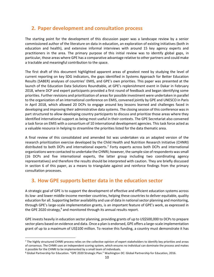## <span id="page-9-0"></span>**2. Paper development and consultation process**

The starting point for the development of this discussion paper was a landscape review by a senior commissioned author of the literature on data in education, an exploration of existing initiatives (both in education and health), and extensive informal interviews with around 15 key agency experts and practitioners in the area. The primary purpose of this initial review was to identify global gaps, in particular, those areas where GPE has a comparative advantage relative to other partners and could make a tractable and meaningful contribution to the space.

The first draft of this document highlighted apparent areas of greatest need by studying the level of current reporting on key SDG indicators, the gaps identified in Systems Approach for Better Education Results (SABER) analyses of countries' EMIS, and GPE's own priorities. This paper was presented at the launch of the Education Data Solutions Roundtable, at GPE's replenishment event in Dakar in February 2018, where DCP and expert participants provided a first round of feedback and began identifying some priorities. Further revisions and prioritization of areas for possible investment were undertaken in parallel to the organization of an international conference on EMIS, convened jointly by GPE and UNESCO in Paris in April 2018, which allowed 20 DCPs to engage around key lessons learned and challenges faced in developing and improving their administrative data systems. The closing session of this conference was in part structured to allow developing country participants to discuss and prioritize those areas where they identified international support as being most useful in their contexts. The GPE Secretariat also convened a task force on EMIS with a consortium of 10 international development agencies. This task force acted as a valuable resource in helping to streamline the priorities listed for the data thematic area.

A final review of this consolidated and amended list was undertaken via an adapted version of the research prioritization exercise developed by the Child Health and Nutrition Research Initiative (CHNRI) distributed to both DCPs and international experts.<sup>7</sup> Forty experts across both DCPs and international organizations were contacted to undertake the CHNRI; however, the sample size of respondents was small (16 DCPs and five international experts, the latter group including two coordinating agency representatives) and therefore the results should be interpreted with caution. They are briefly discussed in section 6 of this paper, as a means to triangulate against and reinforce findings from the primary consultation processes.

## <span id="page-9-1"></span>**3. How GPE supports better data in the education sector**

A strategic goal of GPE is to support the development of effective and efficient education systems across its low- and lower middle-income member countries, helping these countries to deliver equitable, quality education for all. Supporting better availability and use of data in national sector planning and monitoring, through GPE's large-scale implementation grants, is an important feature of GPE's work, as expressed in the GPE 2020 strategy, $8$  and monitored through its annual results report.

GPE invests heavily in education sector planning, providing grants of up to US\$500,000 to DCPs to prepare sector plans based on evidence and data. Once a plan is endorsed, GPE offers a large-scale implementation grant of up to a maximum of US\$100 million. To receive this funding, a country must demonstrate it has

<sup>7</sup> The highly structured CHNRI process relies on the collective opinion of expert stakeholders to identify key priorities and areas of consensus. The CHNRI uses an independent scoring system, which ensures no individual can dominate the process and makes it possible for the CHNRI to be implemented by a small team of individuals.

<sup>8</sup> Global Partnership for Education. "GPE 2020 Strategic Plan." Washington DC: Global Partnership for Education, 2016.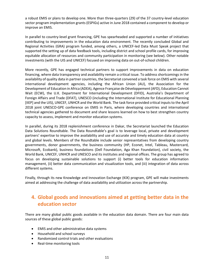a robust EMIS or plans to develop one. More than three-quarters (29) of the 37 country-level education sector program implementation grants (ESPIGs) active in June 2018 contained a component to develop or improve an EMIS.

In parallel to country-level grant financing, GPE has spearheaded and supported a number of initiatives contributing to improvements in the education data environment. The recently concluded Global and Regional Activities (GRA) program funded, among others, a UNICEF-led Data Must Speak project that supported the setting up of data feedback tools, including district and school profile cards, for improving equitable allocation of resources and community participation in monitoring (see below). Other notable investments (with the UIS and UNICEF) focused on improving data on out-of-school children.

More recently, GPE has engaged technical partners to support improvements in data on education financing, where data transparency and availability remain a critical issue. To address shortcomings in the availability of quality data in partner countries, the Secretariat convened a task force on EMIS with several international development agencies, including the African Union (AU), the Association for the Development of Education in Africa (ADEA), Agence Française de Développement (AFD), Education Cannot Wait (ECW), the U.K. Department for International Development (DFID), Australia's Department of Foreign Affairs and Trade (DFAT), UNESCO (including the International Institute for Educational Planning [IIEP] and the UIS), UNICEF, UNHCR and the World Bank. The task force provided critical inputs to the April 2018 joint UNESCO-GPE conference on EMIS in Paris, where developing countries and international technical agencies gathered to document and share lessons learned on how to best strengthen country capacity to assess, implement and monitor education systems.

In parallel, during its 2018 replenishment conference in Dakar, the Secretariat launched the Education Data Solutions Roundtable. The Data Roundtable's goal is to leverage local, private and development partners' expertise to improve the availability and use of accurate and timely education data at country and global levels. Members of the Roundtable include senior representatives from developing country governments, donor governments, the business community (HP, Econet, Intel, Tableau, Mastercard, Microsoft, Ecobank), business foundations (Dell Foundation, Aga Khan Foundation), civil society, the World Bank, UNICEF, UNHCR and UNESCO and its institutes and regional offices. The group has agreed to focus on developing sustainable solutions to support (i) better tools for education information management, (ii) better data communication and visualization tools, and (iii) integration of data across different systems.

Finally, through its new Knowledge and Innovation Exchange (KIX) program, GPE will make investments aimed at addressing the challenge of data availability and utilization across the partnership.

## <span id="page-10-0"></span>**4. Global goods and innovations aimed at getting better data in the education sector**

There are many global public goods available in the education data domain. There are four main data sources of these global public goods:

- EMIS and other administrative data systems
- Household and school surveys
- Randomized control trials and other evaluations
- Real-time monitoring tools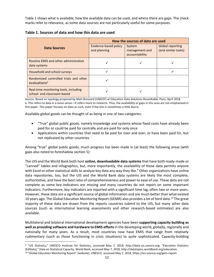Table 1 shows what is available, how the available data can be used, and where there are gaps. The check marks refer to relevance, as some data sources are not particularly useful for some purposes.

| Table 1. Sources of data and how this data are used |  |
|-----------------------------------------------------|--|
|                                                     |  |

|                                                                      | How the sources of data are used      |                                            |                                                |  |
|----------------------------------------------------------------------|---------------------------------------|--------------------------------------------|------------------------------------------------|--|
| <b>Data Sources</b>                                                  | Evidence-based policy<br>and planning | System<br>management and<br>accountability | <b>Global reporting</b><br>(and similar tasks) |  |
| Routine EMIS and other administrative<br>data systems                |                                       |                                            |                                                |  |
| Household and school surveys                                         |                                       |                                            |                                                |  |
| Randomized controlled trials and other<br>evaluations <sup>a</sup>   |                                       |                                            |                                                |  |
| Real-time monitoring tools, including<br>school- and classroom-based |                                       |                                            |                                                |  |

Source: Based on typology proposed by Matt Brossard (UNICEF) at Education Data Solutions Roundtable, Paris, April 2018. a. This refers to data in a loose sense—it refers more to research. Thus, the availability or gaps in this area are not emphasized in this paper. This paper focuses on data as such, even if the line is sometimes a little blurry.

Available global goods can be thought of as being in one of two categories:

- "True" global public goods, namely knowledge and systems whose fixed costs have already been paid for or could be paid for centrally and are paid for only once
- Applications within countries that need to be paid for over and over, or have been paid for, but not replicated by other countries

Among "true" global public goods, much progress has been made in (at least) the following areas (with gaps also noted to foreshadow section 5):

The UIS and the World Bank both host **online, downloadable data systems** that have both ready-made or "canned" tables and infographics, but, more importantly, the availability of these data permits anyone with Excel or other statistical skills to analyze key data any way they like.<sup>9</sup> Other organizations have online data repositories, too, but the UIS and the World Bank data systems are likely the most complete, authoritative, and have the best ratio of comprehensiveness and power to ease of use. These data are not complete as some key indicators are missing and many countries do not report on some important indicators. Furthermore, key indicators are reported with a significant time lag, often two or more years. However, these data are a significant source of global information and are much better than what existed 10 years ago. The Global Education Monitoring Report (GEMR) also provides a lot of hard data.<sup>10</sup> The great majority of these data are drawn from the reports countries submit to the UIS, but many other data sources (such as international learning assessments and other research-based estimates) are also available.

Multilateral and bilateral international development agencies have been **supporting capacity building as well as providing software and hardware to EMIS efforts**in the developing world, globally, regionally and nationally for many years. As a result, most countries now have EMIS that range from relatively rudimentary (such as those functioning in crisis situations) to quite sophisticated. Capacity-building

l

<sup>9</sup> "UIS Statistics," UNESCO Institute for Statistics, accessed May 7, 2018, http://data.uis.unesco.org; "Education Statistics (EdStats)," Data on Statistical Capacity, World Bank, accessed May 7, 2018, http://datatopics.worldbank.org/education. <sup>10</sup> "Global Education Monitoring Report" (website), UNESCO, accessed May 7, 2018, https://en.unesco.org/gem-report.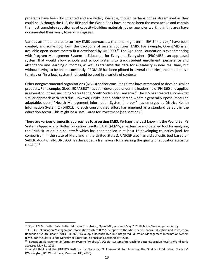programs have been documented and are widely available, though perhaps not as streamlined as they could be. Although the UIS, the IIEP and the World Bank have perhaps been the most active and contain the most complete repositories of capacity-building materials, other agencies working in this area have documented their work, to varying degrees.

Various attempts to create turnkey EMIS approaches, that one might term **"EMIS in a box,"** have been created, and some now form the backbone of several countries' EMIS. For example, OpenEMIS is an available open-source system first developed by UNESCO.<sup>11</sup> The Aga Khan Foundation is experimenting with Program Management System in Education for Everyone, Everywhere (PROMISE), an app-based system that would allow schools and school systems to track student enrollment, persistence and attendance and learning outcomes, as well as transmit this data for availability in near real time, but without having to be online constantly. PROMISE has been piloted in several countries; the ambition is a turnkey or "in-a-box" system that could be used in a variety of contexts.

Other nongovernmental organizations (NGOs) and/or consulting firms have attempted to develop similar products. For example, Global ED\*ASSIST has been developed under the leadership of FHI 360 and applied in several countries, including Sierra Leone, South Sudan and Tanzania.<sup>12</sup> The UIS has created a somewhat similar approach with StatEduc. However, unlike in the health sector, where a general purpose (modular, adaptable, open) "Health Management Information System-in-a-box" has emerged as District Health Information System 2 (DHIS2), no such consolidated effort has emerged as a standard default in the education sector. This might be a useful area for investment (see section 6).

There are various **diagnostic approaches to assessing EMIS**. Perhaps the best known is the World Bank's Systems Approach for Better Education Results (SABER)-EMIS, an extensive and detailed tool for analyzing the EMIS situation in a country,<sup>13</sup> which has been applied in at least 13 developing countries (and, for comparison, in the state of Maryland in the United States). UNICEF also has a diagnostic tool based on SABER. Additionally, UNESCO has developed a framework for assessing the quality of education statistics  $(DOAF).<sup>14</sup>$ 

<sup>11</sup> "OpenEMIS – Better Data. Better Education" (website), OpenEMIS, accessed May 7, 2018, https://www.openemis.org.

<sup>&</sup>lt;sup>12</sup> FHI 360, "Education Management Information System (EMIS) Support to the Ministry of General Education and Instruction, Republic of South Sudan," 2013; FHI 360, "Develop a Decentralized but Integrated Education Management Information System (EMIS) for the Sierra Leone Ministry of Education, Science and Technology," 2015.

<sup>13</sup> "Education Management Information Systems" (website), SABER – Systems Approach for Better Education Results, World Bank, accessed May 31, 2018.

<sup>14</sup> World Bank and the UNESCO Institute for Statistics, "A Framework for Assessing the Quality of Education Statistics" (Washington, DC: World Bank; Montreal: UIS, 2003).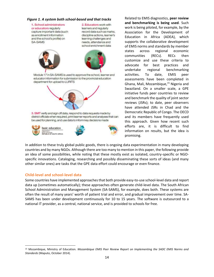#### *Figure 1. A system both school-based and that tracks*

*individual students* 2. Educators work with or educators regularly learners and regularly capture important data (such record data such as marks, as enrollment information discipline actions, learner's and the school's profile) on learning challenges and SA-SAMS needs, attendance and school enrichment data Module 17 in SA-SAMS is used to approve the school, learner and educator information for submission to the provincial education department for upload to LURITS 3. SMT verify and sign off data, respond to data requests made by district officials when required, print learner reports and analyses that can be used for planning, and use data to inform key decisions made basic education



Related to EMIS diagnostics, **peer review and benchmarking is being used**. Such work is being piloted, for example, by the Association for the Development of Education in Africa (ADEA), which supports the collaborative development of EMIS norms and standards by member states across regional economic communities (RECs). RECs then customize and use these criteria to advocate for best practices and undertake regional benchmarking activities. To date, EMIS peer assessments have been completed in Ghana, Mali, Mozambique,<sup>15</sup> Nigeria and Swaziland. On a smaller scale, a GPE initiative funds peer countries to review and benchmark the quality of joint sector reviews (JSRs); to date, peer observers have attended JSRs in Chad and the Democratic Republic of Congo. The OECD and its members have frequently used this approach. Given how recent such efforts are, it is difficult to find information on results, but the idea is promising.

In addition to these truly global public goods, there is ongoing data experimentation in many developing countries and by many NGOs. Although there are too many to mention in this paper, the following provide an idea of some possibilities, while noting that these mostly exist as isolated, country-specific or NGOspecific innovations. Cataloging, researching and possibly disseminating these sorts of ideas (and many other similar ones) are tasks that the GPE data effort could encourage or even finance.

#### <span id="page-13-0"></span>**Child-level and school-level data**

 $\overline{\phantom{a}}$ 

Some countries have implemented approaches that both provide easy-to-use school-level data and report data up (sometimes automatically); these approaches often generate child-level data. The South African School Administration and Management System (SA-SAMS), for example, does both. These systems are often the result of many years' worth of patient trial and error, and gradual improvement over time. SA-SAMS has been under development continuously for 10 to 15 years. The software is outsourced to a national IT provider, as a central, national service, and is provided to schools for free.

<sup>15</sup> Mozambique, Ministry of Education. *Mozambique EMIS Peer Review Report on Implementing the SADC EMIS Norms and Standards* (Maputo, October 2014).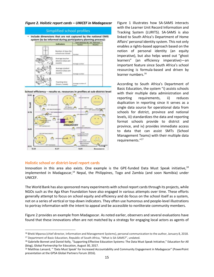*Figure 2. Holistic report cards – UNICEF in Madagascar*



School efficiency - results vs. resources in profiles at sub-district level



Figure 1 illustrates how SA-SAMS interacts with the Learner Unit Record Information and Tracking System (LURITS). SA-SAMS is also linked to South Africa's Department of Home Affairs' personal identity system. This not only enables a rights-based approach based on the notion of personal identity (an equity imperative), but also helps weed out "ghost learners" (an efficiency imperative)—an important feature since South Africa's school resourcing is formula-based and driven by learner numbers.<sup>16</sup>

<span id="page-14-0"></span>According to South Africa's Department of Basic Education, the system "i) assists schools with their multiple data administration and reporting requirements, ii) reduces duplication in reporting since it serves as a single data source for operational data from schools for district, province and national levels, iii) standardizes the data and reporting format schools provide to district and province, and iv) provides immediate access to data that can assist SMTs (School Management Teams) with their multiple data requirements."<sup>17</sup>

#### **Holistic school or district-level report cards**

 $\overline{a}$ 

Innovation in this area also exists. One example is the GPE-funded Data Must Speak initiative, $18$ implemented in Madagascar,<sup>19</sup> Nepal, the Philippines, Togo and Zambia (and soon Namibia) under UNICEF.

The World Bank has also sponsored many experiments with school report cards through its projects, while NGOs such as the Aga Khan Foundation have also engaged in various attempts over time. These efforts generally attempt to focus on school equity and efficiency and do focus on the school itself as a system, not on a series of vertical or top-down indicators. They often use humorous and people-level illustrations to portray information with the intent to appeal and be accessible to nonliterate community members.

Figure 2 provides an example from Madagascar. As noted earlier, observers and several evaluations have found that these innovations often are not matched by a strategy for engaging local actors as agents of

<sup>16</sup> Bheki Mpanza (chief director, Information and Management Systems), personal communication to the author, January 8, 2018. <sup>17</sup> Department of Basic Education, Republic of South Africa, "What is SA-SAMS?", undated.

<sup>18</sup> Gabrielle Bonnet and Daniel Kelly, "Supporting Effective Education Systems: The Data Must Speak Initiative," Education for All (blog), Global Partnership for Education, August 30, 2017.

<sup>19</sup> Matthias Lansard, " 'Data Must Speak' for Increased Accountability and Community Engagement in Madagascar" (PowerPoint presentation at the GPSA Global Partners Forum 2016).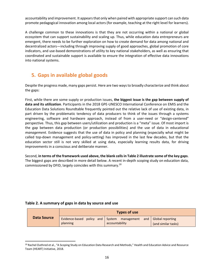accountability and improvement. It appears that only when paired with appropriate support can such data promote pedagogical innovation among local actors (for example, teaching at the right level for learners).

A challenge common to these innovations is that they are not occurring within a national or global ecosystem that can support sustainability and scaling up. Thus, while education data entrepreneurs are emergent, there needs to be further exploration on how to create demand for data among national and decentralized actors—including through improving supply of good approaches, global promotion of core indicators, and use-based demonstrations of utility to key national stakeholders, as well as ensuring that coordinated and sustainable support is available to ensure the integration of effective data innovations into national systems.

## <span id="page-15-0"></span>**5. Gaps in available global goods**

Despite the progress made, many gaps persist. Here are two ways to broadly characterize and think about the gaps:

First, while there are some supply or production issues, **the biggest issue is the gap between supply of data and its utilization**. Participants in the 2018 GPE-UNESCO International Conference on EMIS and the Education Data Solutions Roundtable frequently pointed out the relative lack of use of existing data, in part driven by the problematic tendency of data producers to think of the issues through a systems engineering, software and hardware approach, instead of from a user-need or "design-centered" perspective. Thus, this gap between users/utilization and production is a "meta" issue. Of most import is the gap between data production (or production possibilities) and the use of data in educational *management*. Evidence suggests that the use of data in policy and planning (especially what might be called top-down management and policy-setting) has improved in the last few decades, but that the education sector still is not very skilled at using data, especially learning results data, for driving improvements in a conscious and deliberate manner.

Second, **in terms of the framework used above, the blank cells in Table 2 illustrate some of the key gaps**. The biggest gaps are described in more detail below. A recent in-depth scoping study on education data, commissioned by DFID, largely coincides with this summary.<sup>20</sup>

#### **Table 2. A summary of gaps in data by source and use**

| Data Source | Evidence-based policy and System management<br>planning | accountability | and   Global reporting<br>(and similar tasks) |
|-------------|---------------------------------------------------------|----------------|-----------------------------------------------|

<sup>20</sup> Rachel Outhred et al., "A Scoping Study on Education Data Research and Methods," Health and Education Advice and Resource Team (HEART) Initiative, 2018.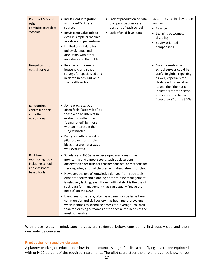| Routine EMIS and<br>other<br>administrative data<br>systems                          | • Insufficient integration<br>with non-EMIS data<br>sources<br>• Insufficient value added<br>even in simple areas such<br>as ratios and percentages<br>Limited use of data for<br>policy dialogue and<br>discussion with other<br>ministries and the public                                                                                                                                | • Lack of production of data<br>that provide complete<br>portraits of each school<br>• Lack of child-level data                                                                                                                                                                                                                                                                       | Data missing in key areas<br>such as:<br>• Finance<br>• Learning outcomes,<br>disability<br>• Equity-oriented<br>comparisons                                                                                                                        |
|--------------------------------------------------------------------------------------|--------------------------------------------------------------------------------------------------------------------------------------------------------------------------------------------------------------------------------------------------------------------------------------------------------------------------------------------------------------------------------------------|---------------------------------------------------------------------------------------------------------------------------------------------------------------------------------------------------------------------------------------------------------------------------------------------------------------------------------------------------------------------------------------|-----------------------------------------------------------------------------------------------------------------------------------------------------------------------------------------------------------------------------------------------------|
| Household and<br>school surveys                                                      | • Relatively little use of<br>household and school<br>surveys for specialized and<br>in-depth needs, unlike in<br>the health sector                                                                                                                                                                                                                                                        |                                                                                                                                                                                                                                                                                                                                                                                       | • Good household and<br>school surveys could be<br>useful in global reporting<br>as well, especially for<br>dealing with specialized<br>issues, the "thematic"<br>indicators for the sector,<br>and indicators that are<br>"precursors" of the SDGs |
| Randomized<br>controlled trials<br>and other<br>evaluations                          | • Some progress, but it<br>often feels "supply-led" by<br>those with an interest in<br>evaluation rather than<br>"demand-led" by those<br>with an interest in the<br>subject matter<br>• Policy still often based on<br>pilot projects or simply<br>ideas that are not always<br>well-evaluated                                                                                            |                                                                                                                                                                                                                                                                                                                                                                                       |                                                                                                                                                                                                                                                     |
| Real-time<br>monitoring tools,<br>including school-<br>and classroom-<br>based tools | • Scholars and NGOs have developed many real-time<br>monitoring and support tools, such as classroom<br>• However, the use of knowledge derived from such tools,<br>such data for management that can actually "move the<br>needle" on the SDGs<br>• Use of real-time data, often as a demand-side issue from<br>communities and civil society, has been more prevalent<br>most vulnerable | observation checklists for teacher coaches, or methods for<br>tracking integration of children with disabilities into school<br>either for policy and planning or for routine management,<br>is relatively lacking, even though ultimately it is the use of<br>when it comes to schooling access for "average" children<br>than for learning outcomes or the specialized needs of the |                                                                                                                                                                                                                                                     |

With these issues in mind, specific gaps are reviewed below, considering first supply-side and then demand-side concerns.

#### <span id="page-16-0"></span>**Production or supply-side gaps**

A planner working on education in low-income countries might feel like a pilot flying an airplane equipped with only 10 percent of the required instruments. The pilot could steer the airplane but not know, or be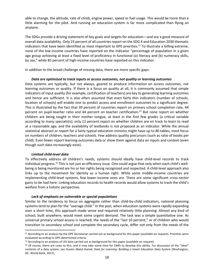able to change, the altitude, rate of climb, engine power, speed or fuel usage. This would be more than a little alarming for the pilot. And running an education system is far more complicated than flying an airplane.

The SDGs provide a driving statement of key goals and targets for education—and are a good measure of overall data availability. Only 23 percent of all countries report on the SDG 4 and Education 2030 thematic indicators that have been identified as most important to GPE priorities.<sup>21</sup> To illustrate a telling extreme, none of the low-income countries have reported on the indicator "percentage of population in a given age group achieving at least a fixed level of proficiency in functional (a) literacy and (b) numeracy skills, by sex," while 85 percent of high-income countries have reported on this indicator.

In addition to the broad challenge of missing data, there are more specific gaps:

#### *Data are optimized to track inputs or access outcomes, not quality or learning outcomes*

Data systems are typically, but not always, geared to produce information on access outcomes, not learning outcomes or quality. If there is a focus on quality at all, it is commonly assumed that simple indicators of input quality (for example, certification of teachers) are key to generating learning outcomes and hence are sufficient. It is also often assumed that even fairly thin indicators (number of schools, location of schools) will enable one to predict access and enrollment outcomes to a significant degree. This is illustrated by the fact that 39 percent of countries report on primary school completion rate, 44 percent on pupil-teacher ratio and 44 percent on teacher certification.<sup>22</sup> But none report on whether children are being taught in their mother tongue, at least in the first few grades (a critical variable according to many specialists); only 12 percent report on whether children are on track to learn to read at a reasonable age; and the availability of textbooks is not proposed as an indicator. While the annual statistical abstract or report for a fairly typical education ministry might have up to 80 tables, most focus on numbers of children, teachers and schools. Few address quality precursors (such as ratio of books per child). Even fewer report learning outcomes data or show them against data on inputs and context (even though such data increasingly exist).

#### *Limited child-level data*

l

To effectively address all children's needs, systems should ideally have child-level records to track individual progress.<sup>23</sup> This is not just an efficiency issue. One could argue that only when each child's wellbeing is being monitored are his or her rights being recognized and respected. A child-level approach also links up to the movement for identity as a human right. While some middle-income countries are implementing child-level systems, few lower-income ones are. There are some significant cross-sector gains to be had here: Linking education records to health records would allow systems to track the child's welfare from a holistic perspective.

#### *Lack of emphasis on vulnerable or special populations*

Similar to the tendency to focus on aggregate rather than child-by-child indicators, national planning systems tend to plan for the "average child." In the past, when education systems were rapidly expanding over a short time, this approach made sense and required relatively little planning: Almost any kind of school, built anywhere, would meet some urgent demand. The task was a simple quantitative one. As universal primary school access is reached, the needs of the "last 10 percent," or of children who would transition to secondary school and complete the secondary cycle, differ not only from the needs of the

<sup>&</sup>lt;sup>21</sup> According to an analysis by the GPE Secretariat carried out as background for this paper (available on request). Priorities were evaluated according to GPE-determined criteria.

<sup>&</sup>lt;sup>22</sup> According to an analysis of UIS data carried out as background for this paper (available on request).

<sup>&</sup>lt;sup>23</sup> Of course, there are costs to this, and it may take some time for EMIS to develop this ability. For discussion of the "ideal" contents of a data system, see Husein Abdul-Hamid, *Data for Learning: Building a Smart Education Data System* (Washington, DC: World Bank, 2017).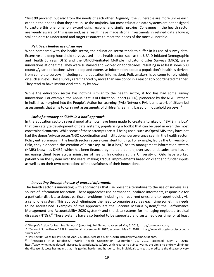"first 90 percent" but also from the needs of each other. Arguably, the vulnerable are more unlike each other in their needs than they are unlike the majority. But most education data systems are not designed to capture this phenomenon, except using regional and similar proxies. Colleagues in the health sector are keenly aware of this issue and, as a result, have made strong investments in refined data allowing stakeholders to understand and target resources to meet the needs of the most vulnerable.

#### *Relatively limited use of surveys*

When compared with the health sector, the education sector tends to suffer in its use of survey data. Extensive and deep household surveys used in the health sector, such as the USAID-initiated Demographic and Health Surveys (DHS) and the UNICEF-initiated Multiple Indicator Cluster Surveys (MICS), were innovations at one time. They were sustained and worked on for decades, resulting in at least some 580 country/year applications where deep and extensive information about a population's health is derived from complete surveys (including some education information). Policymakers have come to rely widely on such surveys. These surveys are financed by more than one donor in a reasonably coordinated manner: They tend to have institutional stability by now.

While the education sector has nothing similar to the health sector, it too has had some survey innovations. For example, the Annual Status of Education Report (ASER), pioneered by the NGO Pratham in India, has morphed into the People's Action for Learning (PAL) Network. PAL is a network of citizen-led assessments that aims to carry out assessments of children's learning based on household surveys.<sup>24</sup>

#### *Lack of a turnkey or "EMIS in a box" approach*

In the education sector, several good attempts have been made to create a turnkey or "EMIS in a box" that can catalyze development of data systems, popularizing a toolkit that can be used in even the most constrained contexts. While some of these attempts are still being used, such as OpenEMIS, they have not had the donor/private sector/NGO coordination and institutional perseverance seen in the health sector. Policy entrepreneurs in the health sector receive consistent funding. For example, led by the University of Oslo, they pioneered the creation of a turnkey, or "in a box," health management information system (HMIS) known as DHIS2, which has been financed by multiple donors, over several decades, and has an increasing client base across ministries of health. Innovators at the University of Oslo have worked patiently on the system over the years, making gradual improvements based on client and funder inputs as well as on their own perceptions of the usefulness of their innovations.

#### *Innovating through the use of unusual informants*

 $\overline{\phantom{a}}$ 

The health sector is innovating with approaches that use present alternatives to the use of surveys as a source of information for action. These approaches use permanent, localized informants, responsible for a particular district, to detect particular problems, including nonrecurrent ones, and to report quickly via a cellphone system. This approach eliminates the need to organize a survey each time something needs to be ascertained. Examples of this approach are the Coconut Malaria System, $25$  the Performance Management and Accountability 2020 system<sup>26</sup> and the data systems for managing neglected tropical diseases (NTDs).<sup>27</sup> These systems have also tended to be supported and sustained over time, or at least

<sup>24</sup> "People's Action for Learning Network" (website), PAL Network, accessed May 7, 2018, http://palnetwork.org/.

<sup>25</sup> "Coconut Surveillance," RTI International, November 8, 2017, accessed May 7, 2018, https://www.rti.org/impact/coconutsurveillance.

<sup>26</sup> "PMA2020" (website), PMA2020, April 23, 2018. Accessed May 7, 2018. https://www.pma2020.org/.

<sup>&</sup>lt;sup>27</sup> "Integrated NTD Database," World Health Organization, September 21, 2017, accessed May 7, 2018. http://www.who.int/neglected diseases/data/ntddatabase/en/. With regards to guinea worm, the aim is to entirely eliminate the disease. Success has meant that it is getting harder and harder to find individuals to treat to eradicate the disease. A very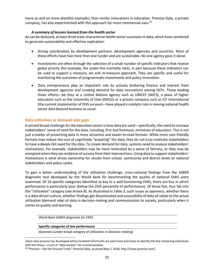more so and on more plentiful examples, than similar innovations in education. Premise Data, a private company, has also experimented with this approach for more commercial uses.<sup>28</sup>

#### *A summary of lessons learned from the health sector*

As can be deduced, at least three traits characterize health sector successes in data, which have combined to generate sustainability and effective replication:

- Strong coordination by development partners, development agencies and countries. Most of these efforts have had more than one funder and are sustainable. No one agency goes it alone.
- Investments are often through the selection of a small number of specific indicators that receive global priority (for example, the under-five mortality rate), in part because these indicators can be used to support a measure, act and re-measure approach. They are specific and useful for monitoring the outcomes of programmatic investments and policy innovation.
- Data entrepreneurs play an important role by actively brokering finance and interest from development agencies and creating demand for data innovations among DCPs. Those leading these efforts—be they at a United Nations agency such as UNICEF (MICS), a place of higher education such as the University of Oslo (DHIS2) or a private company such as ICF International (the current implementer of DHS surveys)—have played a catalytic role in moving national health sector data beyond business as usual.

#### <span id="page-19-0"></span>**Data utilization or demand-side gaps**

A second broad challenge for the education sector is how data are used—specifically, the need to increase stakeholders' sense of need for the data, including, first and foremost, ministries of education. This is not just a matter of presenting data in more attractive and easier-to-read formats. While more user-friendly formats may reduce the cost of cognitively "acquiring" the data, they do not truly motivate stakeholders to have a deeply felt need for the data. To create demand for data, systems need to analyze stakeholders' motivations. For example, stakeholders may be more motivated by a sense of fairness, or they may be energized when they see evidence of success from their interventions. Using data to support stakeholders' motivations is what drives ownership for results from school, community and district levels to national stakeholders and policy cycles.

To gain a better understanding of the utilization challenge, cross-national findings from the SABER diagnostic tool developed by the World Bank for benchmarking the quality of national EMIS were examined. Of 19 specific categories identified as key to a well-functioning EMIS, there are five in which performance is particularly poor (below the 25th percentile of performance). Of those five, four fall into the "utilization" category (see Annex B). As illustrated in Table 3, such issues as openness, whether there is a data-driven culture, whether findings get disseminated and accessibility of data all relate to the actual utilization (demand side) of data in decision-making and communication to society, particularly when it comes to quality and learning.

*World Bank SABER diagnostic for EMIS*

#### **Specific categories of low performance**

 $\overline{\phantom{a}}$ 

Openness (under broad category of Utilization in Decision-making)

clever data process has developed where localized informants are paid more and more to identify the few remaining individuals with the illness—a sort of "data auction" for a social purpose.

<sup>28</sup> "Premise – Get the Ground Truth," Premise Data, accessed May 7, 2018, http://www.premise.com/.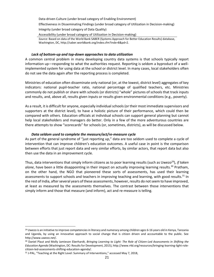Data-driven Culture (under broad category of Enabling Environment)

Effectiveness in Disseminating Findings (under broad category of Utilization in Decision-making) Integrity (under broad category of Data Quality)

Accessibility (under broad category of Utilization in Decision-making)

*Source:* Based on data of the World Bank SABER (Systems Approach for Better Education Results) database, Washington, DC[, http://saber.worldbank.org/index.cfm?indx=8&pd=2.](http://saber.worldbank.org/index.cfm?indx=8&pd=2)

#### *Lack of bottom-up and top-down approaches to data utilization*

A common central problem in many developing country data systems is that schools typically report information up—responding to what the authorities request. Reporting is seldom a byproduct of a wellimplemented system for using data at the school or district level. In many cases, local stakeholders often do not see the data again after the reporting process is completed.

Ministries of education often disseminate only national (or, at the lowest, district level) aggregates of key indicators: national pupil-teacher ratio, national percentage of qualified teachers, etc. Ministries commonly do not publish or share with schools (or districts) "whole" pictures of schools that track inputs and results, and, above all, results given inputs or results given environmental conditions (e.g., poverty).

As a result, it is difficult for anyone, especially individual schools (or their most immediate supervisors and supporters at the district level), to have a holistic picture of their performance, which could then be compared with others. Education officials at individual schools can support general planning but cannot help local stakeholders and managers do better. Only in a few of the more adventurous countries are there attempts to show "scorecards" for schools (or, sometimes, districts), as will be discussed below.

#### *Data seldom used to complete the measure/act/re-measure cycle*

As part of the general syndrome of "just reporting up," data are too seldom used to complete a cycle of intervention that can improve children's education outcomes. A useful case in point is the comparison between efforts that just report data and very similar efforts, by similar actors, that report data but also then use the data in an improvement cycle.

Thus, data interventions that simply inform citizens as to poor learning results (such as Uwezo<sup>29</sup>), *if taken alone*, have been a little disappointing in their impact on actually improving learning results.<sup>30</sup> Pratham, on the other hand, the NGO that pioneered these sorts of assessments, has used their learning assessments to support schools and teachers in improving teaching and learning, with good results.<sup>31</sup> In the rest of India, after several years of these assessments, however, results do not seem to have improved, at least as measured by the assessments themselves. The contrast between those interventions that simply inform and those that measure (and inform), act and re-measure is telling.

 $^{29}$  Uwezo is an initiative to improve competencies in literacy and numeracy among children ages 6-16 years old in Kenya, Tanzania and Uganda, by using an innovative approach to social change that is citizen driven and accountable to the public. See [http://www.uwezo.net/.](http://www.uwezo.net/)

<sup>30</sup> Daniel Plaut and Molly Jamieson Eberhardt, *Bringing Learning to Light: The Role of Citizen-Led Assessments in Shifting the Education Agenda* (Washington, DC: Results for Development, 2015), http://www.r4d.org/resources/bringing-learning-light-rolecitizen-led-assessments-shifting-education-agenda/.

<sup>31</sup> J-PAL, "Teaching at the Right Level: Summary of Interventions," accessed May 7, 2018,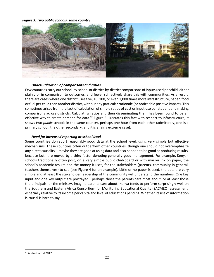*Figure 3. Two public schools, same country*



#### *Under-utilization of comparisons and ratios*

Few countries carry out school-by-school or district-by-district comparisons of inputs used per child, either plainly or in comparison to outcomes, and fewer still actively share this with communities. As a result, there are cases where one district uses five, 10, 100, or even 1,000 times more infrastructure, paper, food or fuel per child than another district, without any particular rationale (or noticeable positive impact). This sometimes arises from the lack of calculation of simple ratios of cost or input use per student and making comparisons across districts. Calculating ratios and then disseminating them has been found to be an effective way to create demand for data.<sup>32</sup> Figure 3 illustrates this fact with respect to infrastructure; it shows two *public* schools in the same country, perhaps one hour from each other (admittedly, one is a primary school, the other secondary, and it is a fairly extreme case).

#### *Need for increased reporting at school level*

Some countries do report reasonably good data at the school level, using very simple but effective mechanisms. These countries often outperform other countries, though one should not overemphasize any direct causality—maybe they are good at using data and also happen to be good at producing results, because both are moved by a third factor denoting generally good management. For example, Kenyan schools traditionally often post, on a very simple public chalkboard or with marker ink on paper, the school's academic results and the money it uses, for the stakeholders (parents, community in general, teachers themselves) to see (see Figure 4 for an example). Little or no paper is used, the data are very simple and at least the stakeholder leadership of the community will understand the numbers. One key input and one key output are portrayed—perhaps those the parents care most about, or at least those the principals, or the ministry, imagine parents care about. Kenya tends to perform surprisingly well on the Southern and Eastern Africa Consortium for Monitoring Educational Quality (SACMEQ) assessment, especially relative to its income per capita and level of educations pending. Whether its use of information is causal is hard to say.

<sup>32</sup> Abdul-Hamid 2017.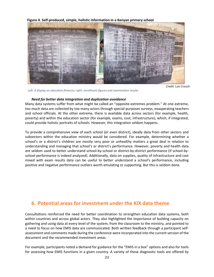

#### **Figure 4. Self-produced, simple, holistic information in a Kenyan primary school**

*Left: A display on education finances; right: enrollment figures and examination results*

*Credit:* Luis Crouch

#### *Need for better data integration and duplication avoidance*

Many data systems suffer from what might be called an "opposite-extremes problem." At one extreme, too much data are collected by too many actors through special-purposes surveys, exasperating teachers and school officials. At the other extreme, there is available data across sectors (for example, health, poverty) and within the education sector (for example, exams, cost, infrastructure), which, if integrated, could provide holistic portraits of schools. However, this integration seldom happens.

To provide a comprehensive view of each school (or even district), ideally data from other sectors and subsectors within the education ministry would be considered. For example, determining whether a school's or a district's children are mostly very poor or unhealthy matters a great deal in relation to understanding and managing that school's or district's performance. However, poverty and health data are seldom used to better understand school-by-school or district-by-district performance (if school-byschool performance is indeed analyzed). Additionally, data on supplies, quality of infrastructure and cost mixed with exam results data can be useful to better understand a school's performance, including positive and negative performance outliers worth emulating or supporting. But this is seldom done.

## <span id="page-22-0"></span>**6. Potential areas for investment under the KIX data theme**

Consultations reinforced the need for better coordination to strengthen education data systems, both within countries and across global actors. They also highlighted the importance of building capacity on gathering and using data at every level of the system, from the classroom to the ministry, and pointed to a need to focus on how EMIS data are communicated. Both written feedback through a participant selfassessment and comments made during the conference were incorporated into the current version of the document and the recommended investment areas.

For example, participants noted a demand for guidance for the "EMIS in a box" options and also for tools for assessing how EMIS functions in a given country. A variety of these diagnostic tools are offered by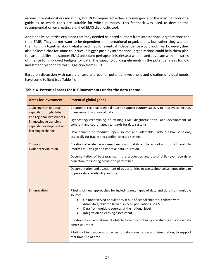various international organizations, but DCPs requested either a convergence of the existing tools or a guide as to which tools are suitable for which purposes. This feedback was used to develop the recommendation on creating a unified EMIS diagnostic tool.

Additionally, countries explained that they needed balanced support from international organizations for their EMIS. They do not want to be dependent on international organizations, but rather they wanted them to think together about what a road map for eventual independence would look like. However, they also believed that for some countries, a bigger push by international organizations could help them plan for sustainability and support EMIS units (and perhaps ministries as a whole), and advocate with ministries of finance for improved budgets for data. The capacity-building elements in the potential areas for KIX investment respond to this suggestion from DCPs.

Based on discussion with partners, several areas for potential investment and creation of global goods have come to light (see Table 4).

| <b>Areas for investment</b>                                                   | <b>Potential global goods</b>                                                                                                                                                                                                                         |  |  |
|-------------------------------------------------------------------------------|-------------------------------------------------------------------------------------------------------------------------------------------------------------------------------------------------------------------------------------------------------|--|--|
| 1. Strengthen national<br>capacity through global<br>and regional investments | Creation of regional or global hubs to support country capacity to improve collection,<br>management, and use of data                                                                                                                                 |  |  |
| in knowledge transfer,<br>capacity development and                            | Signposting/streamlining of existing EMIS diagnostic tools, and development of<br>coherent and coordinated standards for data systems                                                                                                                 |  |  |
| learning exchange                                                             | Development of modular, open source and adaptable EMIS-in-a-box solutions,<br>especially for fragile and conflict-affected settings                                                                                                                   |  |  |
| 2. Invest in<br>evidence/evaluation                                           | Creation of evidence on user needs and habits at the school and district levels to<br>inform EMIS design and improve data utilization                                                                                                                 |  |  |
|                                                                               | Documentation of best practice in the production and use of child-level records in<br>education for sharing across the partnership                                                                                                                    |  |  |
|                                                                               | Documentation and assessment of opportunities to use technological innovations to<br>improve data availability and use                                                                                                                                |  |  |
| 3. Innovation                                                                 | Piloting of new approaches for including new types of data and data from multiple<br>sources:                                                                                                                                                         |  |  |
|                                                                               | On underserved populations in out-of-school children, children with<br>$\bullet$<br>disabilities, children from displaced populations, in EMIS<br>Data from multiple sources at the national level<br>$\bullet$<br>Integration of learning assessment |  |  |
|                                                                               | Creation of a cross-national digital platform for combining and sharing education data<br>across countries                                                                                                                                            |  |  |
|                                                                               | Piloting of innovative approaches to data presentation and visualization, to support<br>real-time use of data                                                                                                                                         |  |  |

#### **Table 4. Potential areas for KIX investments under the data theme**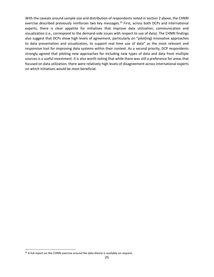With the caveats around sample size and distribution of respondents noted in section 2 above, the CHNRI exercise described previously reinforces two key messages.<sup>33</sup> First, across both DCPs and international experts, there is clear appetite for initiatives that improve data utilization, communication and visualization (i.e., correspond to the demand-side issues with respect to use of data). The CHNRI findings also suggest that DCPs show high levels of agreement, particularly on "pilot(ing) innovative approaches to data presentation and visualization, to support real time use of data" as the most relevant and responsive tool for improving data systems within their context. As a second priority, DCP respondents strongly agreed that piloting new approaches for including new types of data and data from multiple sources is a useful investment. It is also worth noting that while there was still a preference for areas that focused on data utilization, there were relatively high levels of disagreement across international experts on which initiatives would be most beneficial.

<sup>33</sup> A full report on the CHNRI exercise around the data theme is available on request.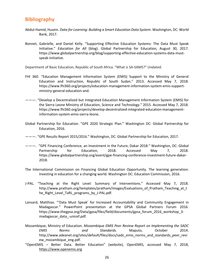## <span id="page-25-0"></span>**Bibliography**

- Abdul-Hamid, Husein. *Data for Learning: Building a Smart Education Data System*. Washington, DC: World Bank, 2017.
- Bonnet, Gabrielle, and Daniel Kelly. "Supporting Effective Education Systems: The Data Must Speak Initiative." *Education for All* (blog). Global Partnership for Education, August 30, 2017. https://www.globalpartnership.org/blog/supporting-effective-education-systems-data-mustspeak-initiative.

Department of Basic Education, Republic of South Africa. "What is SA-SAMS?" Undated.

- FHI 360. "Education Management Information System (EMIS) Support to the Ministry of General Education and Instruction, Republic of South Sudan." 2013. Accessed May 7, 2018. https://www.fhi360.org/projects/education-management-information-system-emis-supportministry-general-education-and.
- ———. "Develop a Decentralized but Integrated Education Management Information System (EMIS) for the Sierra Leone Ministry of Education, Science and Technology." 2015. Accessed May 7, 2018. https://www.fhi360.org/projects/develop-decentralized-integrated-education-managementinformation-system-emis-sierra-leone.
- Global Partnership for Education. "GPE 2020 Strategic Plan." Washington DC: Global Partnership for Education, 2016.
- ———. "GPE Results Report 2015/2016." Washington, DC: Global Partnership for Education, 2017.
- ———. "GPE Financing Conference, an Investment in the Future, Dakar 2018." Washington, DC: Global Partnership for Education, 2018. Accessed May 7, 2018. https://www.globalpartnership.org/event/gpe-financing-conference-investment-future-dakar-2018.
- The International Commission on Financing Global Education Opportunity. The learning generation: Investing in education for a changing world. Washington DC: Education Commission, 2016.
- J-PAL. "Teaching at the Right Level: Summary of Interventions." Accessed May 7, 2018. http://www.pratham.org/templates/pratham/images/Evaluations of Pratham Teaching at t he Right Level TaRL programs by J-PAL.pdf.
- Lansard, Matthias. "'Data Must Speak' for Increased Accountability and Community Engagement in Madagascar*.*" PowerPoint presentation at the GPSA Global Partners Forum 2016. https://www.thegpsa.org/Data/gpsa/files/field/documents/gpsa\_forum\_2016\_workshop\_3 madagascar\_data\_-unicef.pdf.
- Mozambique, Ministry of Education. *Mozambique EMIS Peer Review Report on Implementing the SADC EMIS Norms and Standards.* Maputo, October 2014. http://www.adeanet.org/sites/default/files/docs/sadc\_emis\_norms\_and\_standards\_peer\_revi ew\_mozambique\_eng.pdf.
- "OpenEMIS Better Data. Better Education" (website), OpenEMIS, accessed May 7, 2018, [https://www.openemis.org](https://www.openemis.org/)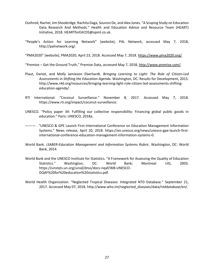- Outhred, Rachel, Jim Shoobridge, Rachita Daga, Sourovi De, and Alex Jones. "A Scoping Study on Education Data Research And Methods." Health and Education Advice and Resource Team (HEART) Initiative, 2018. HEARTforEACDS@opml.co.uk.
- "People's Action for Learning Network" (website), PAL Network, accessed May 7, 2018, [http://palnetwork.org/.](http://palnetwork.org/)

"PMA2020" (website), PMA2020, April 23, 2018. Accessed May 7, 2018. [https://www.pma2020.org/.](https://www.pma2020.org/)

"Premise – Get the Ground Truth," Premise Data, accessed May 7, 2018[, http://www.premise.com/.](http://www.premise.com/)

- Plaut, Daniel, and Molly Jamieson Eberhardt. *Bringing Learning to Light: The Role of Citizen-Led Assessments in Shifting the Education Agenda*. Washington, DC: Results for Development, 2015. http://www.r4d.org/resources/bringing-learning-light-role-citizen-led-assessments-shiftingeducation-agenda/.
- RTI International. "Coconut Surveillance." November 8, 2017. Accessed May 7, 2018. https://www.rti.org/impact/coconut-surveillance.
- UNESCO. "Policy paper 34: Fulfilling our collective responsibility: Financing global public goods in education." Paris: UNESCO, 2018a.
- ——— . "UNESCO & GPE Launch First International Conference on Education Management Information Systems." News release, April 20, 2018. https://en.unesco.org/news/unesco-gpe-launch-firstinternational-conference-education-management-information-systems-0.
- World Bank. ¡*SABER-Education Management and Information Systems Rubric.* Washington, DC: World Bank, 2014.
- World Bank and the UNESCO Institute for Statistics. "A Framework for Assessing the Quality of Education Statistics." Washington, DC: World Bank; Montreal: UIS, 2003. [https://unstats.un.org/unsd/dnss/docs-nqaf/WB-UNESCO-](https://unstats.un.org/unsd/dnss/docs-nqaf/WB-UNESCO-DQAF%20for%20education%20statistics.pdf)[DQAF%20for%20education%20statistics.pdf.](https://unstats.un.org/unsd/dnss/docs-nqaf/WB-UNESCO-DQAF%20for%20education%20statistics.pdf)
- World Health Organization. "Neglected Tropical Diseases: Integrated NTD Database." September 21, 2017. Accessed May 07, 2018. http://www.who.int/neglected\_diseases/data/ntddatabase/en/.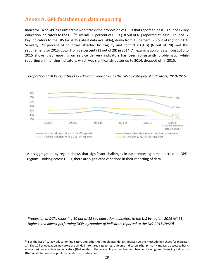## <span id="page-27-0"></span>**Annex A. GPE factsheet on data reporting**

Indicator 14 of GPE's results framework tracks the proportion of DCPs that report at least 10 out of 12 key education indicators to the UIS.<sup>34</sup> Overall, 30 percent of DCPs (18 out of 61) reported at least 10 out of 12 key indicators to the UIS for 2015 (latest data available), down from 43 percent (26 out of 61) for 2014. Similarly, 21 percent of countries affected by fragility and conflict (FCACs) (6 out of 28) met this requirement for 2015, down from 39 percent (11 out of 28) in 2014. An examination of data from 2010 to 2015 shows that reporting on service delivery indicators has been consistently problematic, while reporting on financing indicators, which was significantly better up to 2014, dropped off in 2015.



*Proportion of DCPs reporting key education indicators to the UIS by category of indicators, 2010-2015*

A disaggregation by region shows that significant challenges in data reporting remain across all GPE regions. Looking across DCPs, there are significant variations in their reporting of data.

*Proportion of DCPs reporting 10 out of 12 key education indicators to the UIS by region, 2015 (N=61) Highest and lowest performing DCPs by number of indicators reported to the UIS, 2015 (N=20)*

<sup>34</sup> For the list of 12 key education indicators and other methodological details, please see the methodology sheet for indicator [14.](https://www.globalpartnership.org/content/methodology-sheet-gpe-result-indicator-14) The 12 key education indicators are divided into three categories: outcome indicators (that primarily measure access to basic education), service delivery indicators (that relate to the availability of teachers and teacher training) and financing indicators (that relate to domestic public expenditure on education).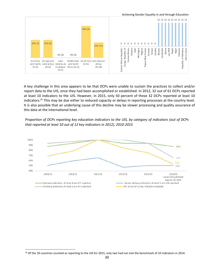

A key challenge in this area appears to be that DCPs were unable to sustain the practices to collect and/or report data to the UIS, once they had been accomplished or established. In 2012, 32 out of 61 DCPs reported at least 10 indicators to the UIS. However, in 2015, only 50 percent of these 32 DCPs reported at least 10 indicators.<sup>35</sup> This may be due either to reduced capacity or delays in reporting processes at the country level. It is also possible that an underlying cause of this decline may be slower processing and quality assurance of this data at the international level.

*Proportion of DCPs reporting key education indicators to the UIS, by category of indicators (out of DCPs that reported at least 10 out of 12 key indicators in 2012), 2010-2015* 



<span id="page-28-0"></span><sup>&</sup>lt;sup>35</sup> Of the 18 countries counted as reporting to the UIS for 2015, only two had not met the benchmark of 10 indicators in 2014.